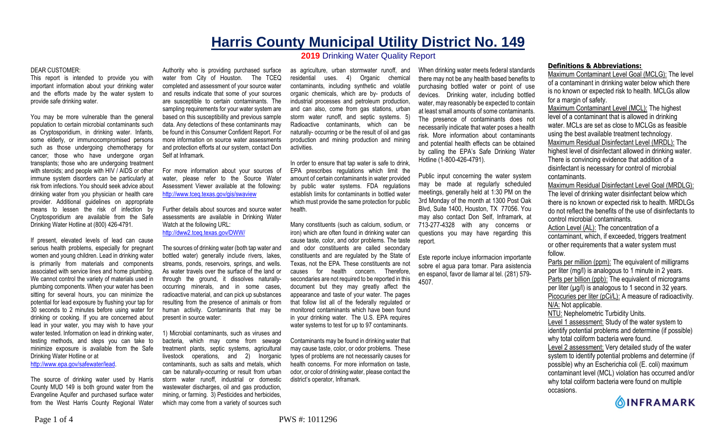# **Harris County Municipal Utility District No. 149 2019** Drinking Water Quality Report

#### DEAR CUSTOMER:

This report is intended to provide you with important information about your drinking water and the efforts made by the water system to provide safe drinking water.

You may be more vulnerable than the general population to certain microbial contaminants such as Cryptosporidium, in drinking water. Infants, some elderly, or immunocompromised persons such as those undergoing chemotherapy for cancer; those who have undergone organ transplants; those who are undergoing treatment with steroids; and people with HIV / AIDS or other immune system disorders can be particularly at risk from infections. You should seek advice about drinking water from you physician or health care provider. Additional guidelines on appropriate means to lessen the risk of infection by Cryptosporidium are available from the Safe Drinking Water Hotline at (800) 426-4791.

If present, elevated levels of lead can cause serious health problems, especially for pregnant women and young children. Lead in drinking water is primarily from materials and components associated with service lines and home plumbing. We cannot control the variety of materials used in plumbing components. When your water has been sitting for several hours, you can minimize the potential for lead exposure by flushing your tap for 30 seconds to 2 minutes before using water for drinking or cooking. If you are concerned about lead in your water, you may wish to have your water tested. Information on lead in drinking water, testing methods, and steps you can take to minimize exposure is available from the Safe Drinking Water Hotline or at

http://www.epa.gov/safewater/lead.

The source of drinking water used by Harris County MUD 149 is both ground water from the Evangeline Aquifer and purchased surface water from the West Harris County Regional Water

Authority who is providing purchased surface water from City of Houston. The TCEQ completed and assessment of your source water and results indicate that some of your sources are susceptible to certain contaminants. The sampling requirements for your water system are based on this susceptibility and previous sample data. Any detections of these contaminants may be found in this Consumer Confident Report. For more information on source water assessments and protection efforts at our system, contact Don Self at Inframark.

For more information about your sources of water, please refer to the Source Water Assessment Viewer available at the following: http://www.tceq.texas.gov/gis/swaview

Further details about sources and source water assessments are available in Drinking Water Watch at the following URL: http://dww2.tceq.texas.gov/DWW/

The sources of drinking water (both tap water and bottled water) generally include rivers, lakes, streams, ponds, reservoirs, springs, and wells. As water travels over the surface of the land or through the ground, it dissolves naturallyoccurring minerals, and in some cases, radioactive material, and can pick up substances resulting from the presence of animals or from human activity. Contaminants that may be present in source water:

1) Microbial contaminants, such as viruses and bacteria, which may come from sewage treatment plants, septic systems, agricultural livestock operations, and 2) Inorganic contaminants, such as salts and metals, which can be naturally-occurring or result from urban storm water runoff, industrial or domestic wastewater discharges, oil and gas production, mining, or farming. 3) Pesticides and herbicides, which may come from a variety of sources such

as agriculture, urban stormwater runoff, and residential uses. 4) Organic chemical contaminants, including synthetic and volatile organic chemicals, which are by- products of industrial processes and petroleum production, and can also, come from gas stations, urban storm water runoff, and septic systems. 5) Radioactive contaminants, which can be naturally- occurring or be the result of oil and gas production and mining production and mining activities.

In order to ensure that tap water is safe to drink, EPA prescribes regulations which limit the amount of certain contaminants in water provided by public water systems. FDA regulations establish limits for contaminants in bottled water which must provide the same protection for public health.

Many constituents (such as calcium, sodium, or iron) which are often found in drinking water can cause taste, color, and odor problems. The taste and odor constituents are called secondary constituents and are regulated by the State of Texas, not the EPA. These constituents are not causes for health concern. Therefore, secondaries are not required to be reported in this document but they may greatly affect the appearance and taste of your water. The pages that follow list all of the federally regulated or monitored contaminants which have been found in your drinking water. The U.S. EPA requires water systems to test for up to 97 contaminants.

Contaminants may be found in drinking water that may cause taste, color, or odor problems. These types of problems are not necessarily causes for health concerns. For more information on taste, odor, or color of drinking water, please contact the district's operator, Inframark.

When drinking water meets federal standards there may not be any health based benefits to purchasing bottled water or point of use devices. Drinking water, including bottled water, may reasonably be expected to contain at least small amounts of some contaminants. The presence of contaminants does not necessarily indicate that water poses a health risk. More information about contaminants and potential health effects can be obtained by calling the EPA's Safe Drinking Water Hotline (1-800-426-4791).

Public input concerning the water system may be made at regularly scheduled meetings, generally held at 1:30 PM on the 3rd Monday of the month at 1300 Post Oak Blvd, Suite 1400, Houston, TX 77056. You may also contact Don Self, Inframark, at 713-277-4328 with any concerns or questions you may have regarding this report.

Este reporte incluye informacion importante sobre el agua para tomar. Para asistencia en espanol, favor de llamar al tel. (281) 579- 4507.

#### **Definitions & Abbreviations:**

Maximum Contaminant Level Goal (MCLG): The level of a contaminant in drinking water below which there is no known or expected risk to health. MCLGs allow for a margin of safety.

Maximum Contaminant Level (MCL): The highest level of a contaminant that is allowed in drinking water. MCLs are set as close to MCLGs as feasible using the best available treatment technology. Maximum Residual Disinfectant Level (MRDL): The highest level of disinfectant allowed in drinking water. There is convincing evidence that addition of a disinfectant is necessary for control of microbial contaminants.

Maximum Residual Disinfectant Level Goal (MRDLG): The level of drinking water disinfectant below which there is no known or expected risk to health. MRDLGs do not reflect the benefits of the use of disinfectants to control microbial contaminants.

Action Level (AL): The concentration of a contaminant, which, if exceeded, triggers treatment or other requirements that a water system must follow.

Parts per million (ppm): The equivalent of milligrams per liter (mg/l) is analogous to 1 minute in 2 years. Parts per billion (ppb): The equivalent of micrograms per liter  $(\mu g/l)$  is analogous to 1 second in 32 years. Picocuries per liter (pCi/L): A measure of radioactivity. N/A: Not applicable. NTU: Nephelometric Turbidity Units. Level 1 assessment: Study of the water system to

identify potential problems and determine (if possible) why total coliform bacteria were found.

Level 2 assessment: Very detailed study of the water system to identify potential problems and determine (if possible) why an Escherichia coli (E. coli) maximum contaminant level (MCL) violation has occurred and/or why total coliform bacteria were found on multiple occasions.

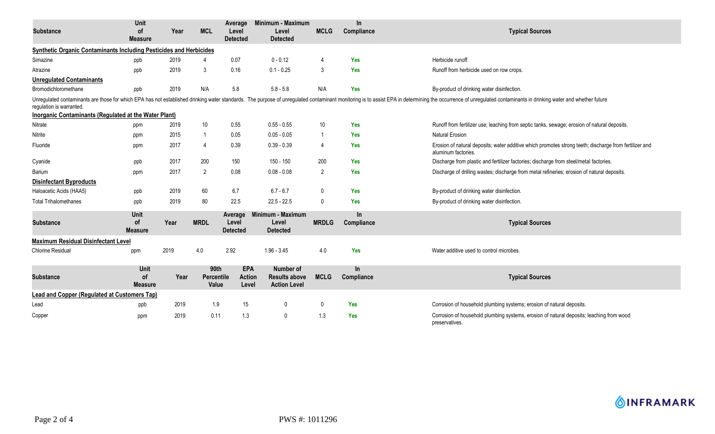| <b>Substance</b>                                                   | <b>Unit</b><br><b>of</b>            | Year | <b>MCL</b>                  | Average<br>Level                     | Minimum - Maximum<br>Level                               | <b>MCLG</b>    | $\ln$<br>Compliance     | <b>Typical Sources</b>                                                                                                                                                                                                         |  |  |
|--------------------------------------------------------------------|-------------------------------------|------|-----------------------------|--------------------------------------|----------------------------------------------------------|----------------|-------------------------|--------------------------------------------------------------------------------------------------------------------------------------------------------------------------------------------------------------------------------|--|--|
|                                                                    | <b>Measure</b>                      |      |                             | <b>Detected</b>                      | <b>Detected</b>                                          |                |                         |                                                                                                                                                                                                                                |  |  |
| Synthetic Organic Contaminants Including Pesticides and Herbicides |                                     |      |                             |                                      |                                                          |                |                         |                                                                                                                                                                                                                                |  |  |
| Simazine                                                           | ppb                                 | 2019 |                             | 0.07                                 | $0 - 0.12$                                               | 4              | <b>Yes</b>              | Herbicide runoff.                                                                                                                                                                                                              |  |  |
| Atrazine                                                           | ppb                                 | 2019 | 3                           | 0.16                                 | $0.1 - 0.25$                                             | 3              | <b>Yes</b>              | Runoff from herbicide used on row crops.                                                                                                                                                                                       |  |  |
| <b>Unregulated Contaminants</b>                                    |                                     |      |                             |                                      |                                                          |                |                         |                                                                                                                                                                                                                                |  |  |
| Bromodichloromethane                                               | ppb                                 | 2019 | N/A                         | 5.8                                  | $5.8 - 5.8$                                              | N/A            | Yes                     | By-product of drinking water disinfection.                                                                                                                                                                                     |  |  |
| regulation is warranted.                                           |                                     |      |                             |                                      |                                                          |                |                         | Unregulated contaminants are those for which EPA has not established drinking water standards. The purpose of unregulated contaminant monitoring is to assist EPA in determining the occurrence of unregulated contaminants in |  |  |
| <b>Inorganic Contaminants (Regulated at the Water Plant)</b>       |                                     |      |                             |                                      |                                                          |                |                         |                                                                                                                                                                                                                                |  |  |
| Nitrate                                                            | ppm                                 | 2019 | 10                          | 0.55                                 | $0.55 - 0.55$                                            | 10             | <b>Yes</b>              | Runoff from fertilizer use; leaching from septic tanks, sewage; erosion of natural deposits.                                                                                                                                   |  |  |
| Nitrite                                                            | ppm                                 | 2015 | 1                           | 0.05                                 | $0.05 - 0.05$                                            | -1             | Yes                     | <b>Natural Erosion</b>                                                                                                                                                                                                         |  |  |
| Fluoride                                                           | ppm                                 | 2017 | 4                           | 0.39                                 | $0.39 - 0.39$                                            | 4              | <b>Yes</b>              | Erosion of natural deposits; water additive which promotes strong teeth; discharge from fertilizer and<br>aluminum factories.                                                                                                  |  |  |
| Cyanide                                                            | ppb                                 | 2017 | 200                         | 150                                  | 150 - 150                                                | 200            | Yes                     | Discharge from plastic and fertilizer factories; discharge from steel/metal factories.                                                                                                                                         |  |  |
| Barium                                                             | ppm                                 | 2017 | $\overline{2}$              | 0.08                                 | $0.08 - 0.08$                                            | $\overline{2}$ | <b>Yes</b>              | Discharge of drilling wastes; discharge from metal refineries; erosion of natural deposits.                                                                                                                                    |  |  |
| <b>Disinfectant Byproducts</b>                                     |                                     |      |                             |                                      |                                                          |                |                         |                                                                                                                                                                                                                                |  |  |
| Haloacetic Acids (HAA5)                                            | ppb                                 | 2019 | 60                          | 6.7                                  | $6.7 - 6.7$                                              | $\mathbf{0}$   | Yes                     | By-product of drinking water disinfection.                                                                                                                                                                                     |  |  |
| <b>Total Trihalomethanes</b>                                       | ppb                                 | 2019 | 80                          | 22.5                                 | $22.5 - 22.5$                                            | $\mathbf{0}$   | Yes                     | By-product of drinking water disinfection.                                                                                                                                                                                     |  |  |
| <b>Substance</b>                                                   | Unit<br><b>of</b><br><b>Measure</b> | Year | <b>MRDL</b>                 | Average<br>Level<br><b>Detected</b>  | Minimum - Maximum<br>Level<br><b>Detected</b>            | <b>MRDLG</b>   | In.<br>Compliance       | <b>Typical Sources</b>                                                                                                                                                                                                         |  |  |
| <b>Maximum Residual Disinfectant Level</b>                         |                                     |      |                             |                                      |                                                          |                |                         |                                                                                                                                                                                                                                |  |  |
| <b>Chlorine Residual</b>                                           | ppm                                 | 2019 | 4.0                         | 2.92                                 | $1.96 - 3.45$                                            | 4.0            | Yes                     | Water additive used to control microbes.                                                                                                                                                                                       |  |  |
| <b>Substance</b>                                                   | Unit<br><b>of</b><br><b>Measure</b> | Year | 90th<br>Percentile<br>Value | <b>EPA</b><br><b>Action</b><br>Level | Number of<br><b>Results above</b><br><b>Action Level</b> | <b>MCLG</b>    | <b>In</b><br>Compliance | <b>Typical Sources</b>                                                                                                                                                                                                         |  |  |
| <b>Lead and Copper (Regulated at Customers Tap)</b>                |                                     |      |                             |                                      |                                                          |                |                         |                                                                                                                                                                                                                                |  |  |
| Lead                                                               | ppb                                 | 2019 | 1.9                         | 15                                   | 0                                                        | $\mathbf{0}$   | Yes                     | Corrosion of household plumbing systems; erosion of natural deposits.                                                                                                                                                          |  |  |
| Copper                                                             | ppm                                 | 2019 | 0.11                        | 1.3                                  | 0                                                        | 1.3            | <b>Yes</b>              | Corrosion of household plumbing systems, erosion of natural deposits; leaching from wood<br>preservatives.                                                                                                                     |  |  |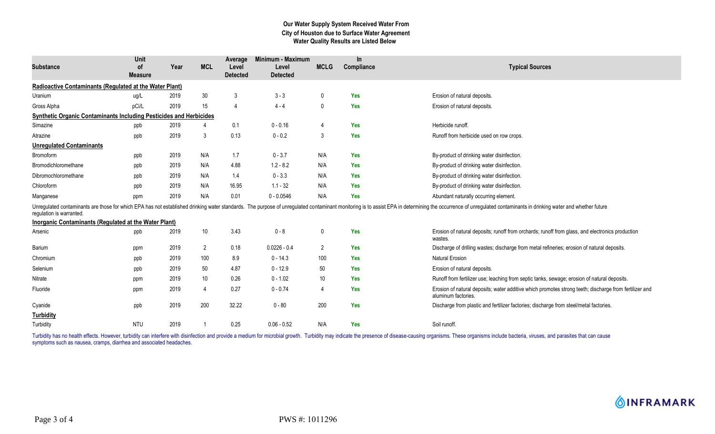## **Our Water Supply System Received Water From City of Houston due to Surface Water Agreement Water Quality Results are Listed Below**

| <b>Substance</b>                                                          | Unit<br>0f<br><b>Measure</b> | Year | <b>MCL</b>      | Average<br>Level<br><b>Detected</b> | Minimum - Maximum<br>Level<br><b>Detected</b> | <b>MCLG</b>    | In.<br>Compliance | <b>Typical Sources</b>                                                                                                                                                                                                         |
|---------------------------------------------------------------------------|------------------------------|------|-----------------|-------------------------------------|-----------------------------------------------|----------------|-------------------|--------------------------------------------------------------------------------------------------------------------------------------------------------------------------------------------------------------------------------|
| <b>Radioactive Contaminants (Regulated at the Water Plant)</b>            |                              |      |                 |                                     |                                               |                |                   |                                                                                                                                                                                                                                |
| Uranium                                                                   | ug/L                         | 2019 | $30\,$          | 3                                   | $3 - 3$                                       | $\mathbf 0$    | <b>Yes</b>        | Erosion of natural deposits.                                                                                                                                                                                                   |
| Gross Alpha                                                               | pCi/L                        | 2019 | 15              | $\overline{4}$                      | $4 - 4$                                       | 0              | <b>Yes</b>        | Erosion of natural deposits.                                                                                                                                                                                                   |
| <b>Synthetic Organic Contaminants Including Pesticides and Herbicides</b> |                              |      |                 |                                     |                                               |                |                   |                                                                                                                                                                                                                                |
| Simazine                                                                  | ppb                          | 2019 |                 | 0.1                                 | $0 - 0.16$                                    | $\overline{4}$ | Yes               | Herbicide runoff.                                                                                                                                                                                                              |
| Atrazine                                                                  | ppb                          | 2019 | 3               | 0.13                                | $0 - 0.2$                                     | 3              | <b>Yes</b>        | Runoff from herbicide used on row crops.                                                                                                                                                                                       |
| <b>Unregulated Contaminants</b>                                           |                              |      |                 |                                     |                                               |                |                   |                                                                                                                                                                                                                                |
| Bromoform                                                                 | ppb                          | 2019 | N/A             | 1.7                                 | $0 - 3.7$                                     | N/A            | Yes               | By-product of drinking water disinfection.                                                                                                                                                                                     |
| Bromodichloromethane                                                      | ppb                          | 2019 | N/A             | 4.88                                | $1.2 - 8.2$                                   | N/A            | Yes               | By-product of drinking water disinfection.                                                                                                                                                                                     |
| Dibromochloromethane                                                      | ppb                          | 2019 | N/A             | 1.4                                 | $0 - 3.3$                                     | N/A            | <b>Yes</b>        | By-product of drinking water disinfection.                                                                                                                                                                                     |
| Chloroform                                                                | ppb                          | 2019 | N/A             | 16.95                               | $1.1 - 32$                                    | N/A            | <b>Yes</b>        | By-product of drinking water disinfection.                                                                                                                                                                                     |
| Manganese                                                                 | ppm                          | 2019 | N/A             | 0.01                                | $0 - 0.0546$                                  | N/A            | <b>Yes</b>        | Abundant naturally occurring element.                                                                                                                                                                                          |
| regulation is warranted.                                                  |                              |      |                 |                                     |                                               |                |                   | Unregulated contaminants are those for which EPA has not established drinking water standards. The purpose of unregulated contaminant monitoring is to assist EPA in determining the occurrence of unregulated contaminants in |
| Inorganic Contaminants (Regulated at the Water Plant)                     |                              |      |                 |                                     |                                               |                |                   |                                                                                                                                                                                                                                |
| Arsenic                                                                   | ppb                          | 2019 | 10              | 3.43                                | $0 - 8$                                       | 0              | Yes               | Erosion of natural deposits; runoff from orchards; runoff from glass, and electronics production<br>wastes.                                                                                                                    |
| Barium                                                                    | ppm                          | 2019 | $\overline{2}$  | 0.18                                | $0.0226 - 0.4$                                | 2              | Yes               | Discharge of drilling wastes; discharge from metal refineries; erosion of natural deposits.                                                                                                                                    |
| Chromium                                                                  | ppb                          | 2019 | 100             | 8.9                                 | $0 - 14.3$                                    | 100            | <b>Yes</b>        | <b>Natural Erosion</b>                                                                                                                                                                                                         |
| Selenium                                                                  | ppb                          | 2019 | 50              | 4.87                                | $0 - 12.9$                                    | 50             | <b>Yes</b>        | Erosion of natural deposits.                                                                                                                                                                                                   |
| Nitrate                                                                   | ppm                          | 2019 | 10 <sup>°</sup> | 0.26                                | $0 - 1.02$                                    | 10             | <b>Yes</b>        | Runoff from fertilizer use; leaching from septic tanks, sewage; erosion of natural deposits.                                                                                                                                   |
| Fluoride                                                                  | ppm                          | 2019 | $\overline{4}$  | 0.27                                | $0 - 0.74$                                    | $\overline{4}$ | <b>Yes</b>        | Erosion of natural deposits; water additive which promotes strong teeth; discharge from fertilizer and<br>aluminum factories.                                                                                                  |
| Cyanide                                                                   | ppb                          | 2019 | 200             | 32.22                               | $0 - 80$                                      | 200            | <b>Yes</b>        | Discharge from plastic and fertilizer factories; discharge from steel/metal factories.                                                                                                                                         |
| <b>Turbidity</b>                                                          |                              |      |                 |                                     |                                               |                |                   |                                                                                                                                                                                                                                |
| Turbidity                                                                 | <b>NTU</b>                   | 2019 |                 | 0.25                                | $0.06 - 0.52$                                 | N/A            | <b>Yes</b>        | Soil runoff.                                                                                                                                                                                                                   |

Turbidity has no health effects. However, turbidity can interfere with disinfection and provide a medium for microbial growth. Turbidity may indicate the presence of disease-causing organisms. These organisms include bacte symptoms such as nausea, cramps, diarrhea and associated headaches.